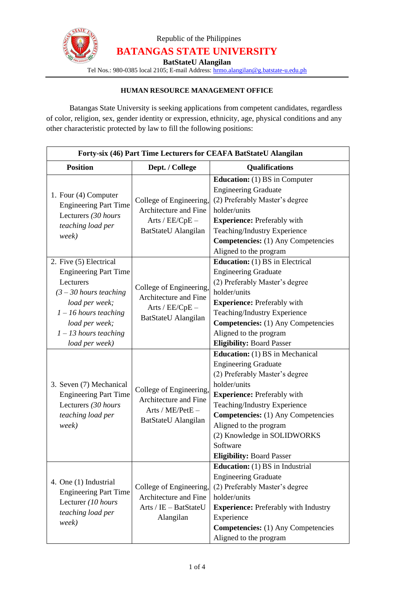

Republic of the Philippines **BATANGAS STATE UNIVERSITY**

**BatStateU Alangilan**

Tel Nos.: 980-0385 local 2105; E-mail Address: [hrmo.alangilan@g.batstate-u.edu.ph](mailto:hrmo.alangilan@g.batstate-u.edu.ph)

### **HUMAN RESOURCE MANAGEMENT OFFICE**

Batangas State University is seeking applications from competent candidates, regardless of color, religion, sex, gender identity or expression, ethnicity, age, physical conditions and any other characteristic protected by law to fill the following positions:

| Forty-six (46) Part Time Lecturers for CEAFA BatStateU Alangilan                                                                                                                                                                                                                                       |                                                                                                                                                                                              |                                                                                                                                                                                                                                                                                                                                                                                                                                                                                                                                            |  |
|--------------------------------------------------------------------------------------------------------------------------------------------------------------------------------------------------------------------------------------------------------------------------------------------------------|----------------------------------------------------------------------------------------------------------------------------------------------------------------------------------------------|--------------------------------------------------------------------------------------------------------------------------------------------------------------------------------------------------------------------------------------------------------------------------------------------------------------------------------------------------------------------------------------------------------------------------------------------------------------------------------------------------------------------------------------------|--|
| <b>Position</b>                                                                                                                                                                                                                                                                                        | Dept. / College                                                                                                                                                                              | <b>Qualifications</b>                                                                                                                                                                                                                                                                                                                                                                                                                                                                                                                      |  |
| 1. Four (4) Computer<br><b>Engineering Part Time</b><br>Lecturers (30 hours<br>teaching load per<br>week)<br>2. Five (5) Electrical<br><b>Engineering Part Time</b><br>Lecturers<br>$(3 - 30$ hours teaching<br>load per week;<br>$1 - 16$ hours teaching<br>load per week;<br>$1 - 13$ hours teaching | College of Engineering,<br>Architecture and Fine<br>Arts / $EE/CpE -$<br>BatStateU Alangilan<br>College of Engineering,<br>Architecture and Fine<br>Arts / $EE/CpE -$<br>BatStateU Alangilan | <b>Education:</b> (1) BS in Computer<br><b>Engineering Graduate</b><br>(2) Preferably Master's degree<br>holder/units<br><b>Experience:</b> Preferably with<br>Teaching/Industry Experience<br><b>Competencies:</b> (1) Any Competencies<br>Aligned to the program<br><b>Education:</b> (1) BS in Electrical<br><b>Engineering Graduate</b><br>(2) Preferably Master's degree<br>holder/units<br><b>Experience:</b> Preferably with<br>Teaching/Industry Experience<br><b>Competencies:</b> (1) Any Competencies<br>Aligned to the program |  |
| load per week)<br>3. Seven (7) Mechanical<br><b>Engineering Part Time</b><br>Lecturers (30 hours<br>teaching load per<br>week)                                                                                                                                                                         | College of Engineering,<br>Architecture and Fine<br>Arts / ME/PetE -<br>BatStateU Alangilan                                                                                                  | <b>Eligibility: Board Passer</b><br><b>Education:</b> (1) BS in Mechanical<br><b>Engineering Graduate</b><br>(2) Preferably Master's degree<br>holder/units<br><b>Experience:</b> Preferably with<br>Teaching/Industry Experience<br><b>Competencies:</b> (1) Any Competencies<br>Aligned to the program<br>(2) Knowledge in SOLIDWORKS<br>Software<br><b>Eligibility: Board Passer</b>                                                                                                                                                    |  |
| 4. One (1) Industrial<br><b>Engineering Part Time</b><br>Lecturer (10 hours<br>teaching load per<br>week)                                                                                                                                                                                              | College of Engineering,<br>Architecture and Fine<br>$Arts / IE - BatStateU$<br>Alangilan                                                                                                     | <b>Education:</b> (1) BS in Industrial<br><b>Engineering Graduate</b><br>(2) Preferably Master's degree<br>holder/units<br><b>Experience:</b> Preferably with Industry<br>Experience<br><b>Competencies:</b> (1) Any Competencies<br>Aligned to the program                                                                                                                                                                                                                                                                                |  |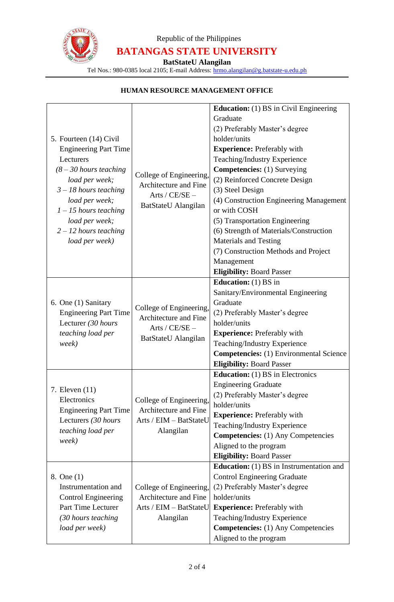

# Republic of the Philippines **BATANGAS STATE UNIVERSITY**

**BatStateU Alangilan**

Tel Nos.: 980-0385 local 2105; E-mail Address: [hrmo.alangilan@g.batstate-u.edu.ph](mailto:hrmo.alangilan@g.batstate-u.edu.ph)

| 5. Fourteen (14) Civil<br><b>Engineering Part Time</b><br>Lecturers<br>$(8 - 30$ hours teaching<br>load per week;<br>$3 - 18$ hours teaching<br>load per week;<br>$1 - 15$ hours teaching | College of Engineering,<br>Architecture and Fine<br>Arts / $CE/SE -$<br>BatStateU Alangilan | <b>Education:</b> (1) BS in Civil Engineering<br>Graduate<br>(2) Preferably Master's degree<br>holder/units<br><b>Experience:</b> Preferably with<br>Teaching/Industry Experience<br><b>Competencies:</b> (1) Surveying<br>(2) Reinforced Concrete Design<br>(3) Steel Design<br>(4) Construction Engineering Management<br>or with COSH |
|-------------------------------------------------------------------------------------------------------------------------------------------------------------------------------------------|---------------------------------------------------------------------------------------------|------------------------------------------------------------------------------------------------------------------------------------------------------------------------------------------------------------------------------------------------------------------------------------------------------------------------------------------|
| load per week;<br>$2 - 12$ hours teaching<br>load per week)                                                                                                                               |                                                                                             | (5) Transportation Engineering<br>(6) Strength of Materials/Construction<br><b>Materials and Testing</b><br>(7) Construction Methods and Project<br>Management<br><b>Eligibility: Board Passer</b>                                                                                                                                       |
| 6. One (1) Sanitary<br><b>Engineering Part Time</b><br>Lecturer (30 hours<br>teaching load per<br>week)                                                                                   | College of Engineering,<br>Architecture and Fine<br>Arts / $CE/SE -$<br>BatStateU Alangilan | <b>Education:</b> (1) BS in<br>Sanitary/Environmental Engineering<br>Graduate<br>(2) Preferably Master's degree<br>holder/units<br><b>Experience:</b> Preferably with<br>Teaching/Industry Experience<br><b>Competencies:</b> (1) Environmental Science<br><b>Eligibility: Board Passer</b>                                              |
| 7. Eleven $(11)$<br>Electronics<br><b>Engineering Part Time</b><br>Lecturers (30 hours<br>teaching load per<br>week)                                                                      | College of Engineering,<br>Architecture and Fine<br>Arts / EIM - BatStateU<br>Alangilan     | <b>Education:</b> (1) BS in Electronics<br><b>Engineering Graduate</b><br>(2) Preferably Master's degree<br>holder/units<br><b>Experience:</b> Preferably with<br>Teaching/Industry Experience<br><b>Competencies:</b> (1) Any Competencies<br>Aligned to the program<br><b>Eligibility: Board Passer</b>                                |
| 8. One (1)<br>Instrumentation and<br><b>Control Engineering</b><br>Part Time Lecturer<br>(30 hours teaching<br>load per week)                                                             | College of Engineering,<br>Architecture and Fine<br>Arts / EIM - BatStateU<br>Alangilan     | <b>Education:</b> (1) BS in Instrumentation and<br><b>Control Engineering Graduate</b><br>(2) Preferably Master's degree<br>holder/units<br><b>Experience:</b> Preferably with<br>Teaching/Industry Experience<br><b>Competencies:</b> (1) Any Competencies<br>Aligned to the program                                                    |

#### **HUMAN RESOURCE MANAGEMENT OFFICE**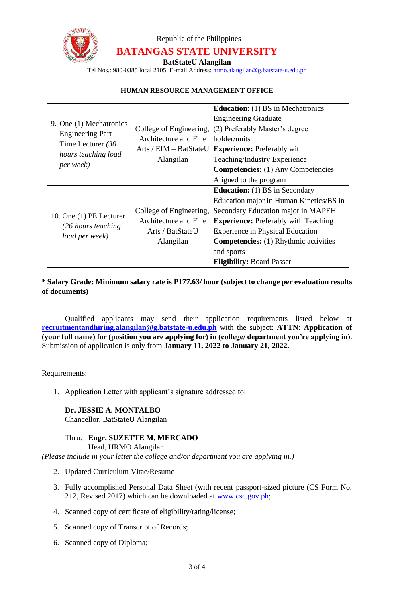

# Republic of the Philippines **BATANGAS STATE UNIVERSITY**

**BatStateU Alangilan**

Tel Nos.: 980-0385 local 2105; E-mail Address: [hrmo.alangilan@g.batstate-u.edu.ph](mailto:hrmo.alangilan@g.batstate-u.edu.ph)

#### **HUMAN RESOURCE MANAGEMENT OFFICE**

|                                                                                                                     |                              | <b>Education:</b> (1) BS in Mechatronics     |
|---------------------------------------------------------------------------------------------------------------------|------------------------------|----------------------------------------------|
| 9. One (1) Mechatronics<br><b>Engineering Part</b><br>Time Lecturer (30<br>hours teaching load<br><i>per week</i> ) |                              | <b>Engineering Graduate</b>                  |
|                                                                                                                     | College of Engineering,      | (2) Preferably Master's degree               |
|                                                                                                                     | <b>Architecture and Fine</b> | holder/units                                 |
|                                                                                                                     | Arts / EIM - BatStateU       | <b>Experience:</b> Preferably with           |
|                                                                                                                     | Alangilan                    | Teaching/Industry Experience                 |
|                                                                                                                     |                              | <b>Competencies:</b> (1) Any Competencies    |
|                                                                                                                     |                              | Aligned to the program                       |
|                                                                                                                     |                              | <b>Education:</b> (1) BS in Secondary        |
|                                                                                                                     |                              |                                              |
|                                                                                                                     |                              | Education major in Human Kinetics/BS in      |
|                                                                                                                     | College of Engineering,      | Secondary Education major in MAPEH           |
| 10. One (1) PE Lecturer                                                                                             | Architecture and Fine        | <b>Experience:</b> Preferably with Teaching  |
| (26 hours teaching)                                                                                                 | Arts / BatStateU             | <b>Experience in Physical Education</b>      |
| load per week)                                                                                                      | Alangilan                    | <b>Competencies:</b> (1) Rhythmic activities |
|                                                                                                                     |                              | and sports                                   |

#### **\* Salary Grade: Minimum salary rate is P177.63/ hour (subject to change per evaluation results of documents)**

Qualified applicants may send their application requirements listed below at **recruitmentandhiring.alangilan@g.batstate-u.edu.ph** with the subject: **ATTN: Application of (your full name) for (position you are applying for) in (college/ department you're applying in)**. Submission of application is only from **January 11, 2022 to January 21, 2022.**

Requirements:

1. Application Letter with applicant's signature addressed to:

#### **Dr. JESSIE A. MONTALBO**

Chancellor, BatStateU Alangilan

#### Thru: **Engr. SUZETTE M. MERCADO**

Head, HRMO Alangilan

*(Please include in your letter the college and/or department you are applying in.)*

- 2. Updated Curriculum Vitae/Resume
- 3. Fully accomplished Personal Data Sheet (with recent passport-sized picture (CS Form No. 212, Revised 2017) which can be downloaded at [www.csc.gov.ph;](http://www.csc.gov.ph/)
- 4. Scanned copy of certificate of eligibility/rating/license;
- 5. Scanned copy of Transcript of Records;
- 6. Scanned copy of Diploma;